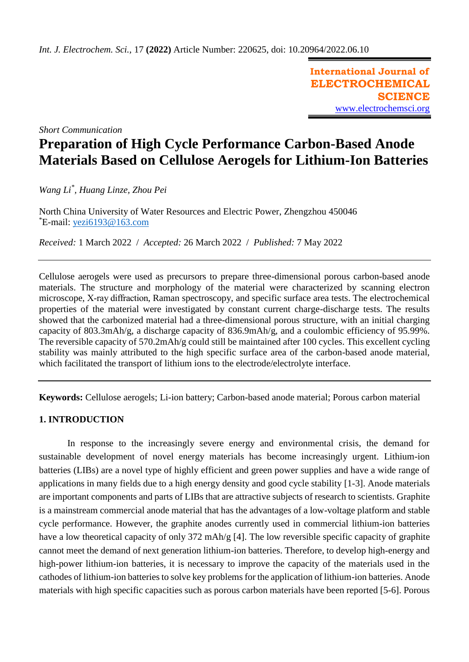**International Journal of ELECTROCHEMICAL SCIENCE** [www.electrochemsci.org](http://www.electrochemsci.org/)

*Short Communication*

# **Preparation of High Cycle Performance Carbon-Based Anode Materials Based on Cellulose Aerogels for Lithium-Ion Batteries**

*Wang Li\* , Huang Linze, Zhou Pei*

North China University of Water Resources and Electric Power, Zhengzhou 450046 \*E-mail: [yezi6193@163.com](mailto:yezi6193@163.com)

*Received:* 1 March 2022/ *Accepted:* 26 March 2022 / *Published:* 7 May 2022

Cellulose aerogels were used as precursors to prepare three-dimensional porous carbon-based anode materials. The structure and morphology of the material were characterized by scanning electron microscope, X-ray diffraction, Raman spectroscopy, and specific surface area tests. The electrochemical properties of the material were investigated by constant current charge-discharge tests. The results showed that the carbonized material had a three-dimensional porous structure, with an initial charging capacity of 803.3mAh/g, a discharge capacity of 836.9mAh/g, and a coulombic efficiency of 95.99%. The reversible capacity of 570.2mAh/g could still be maintained after 100 cycles. This excellent cycling stability was mainly attributed to the high specific surface area of the carbon-based anode material, which facilitated the transport of lithium ions to the electrode/electrolyte interface.

**Keywords:** Cellulose aerogels; Li-ion battery; Carbon-based anode material; Porous carbon material

# **1. INTRODUCTION**

In response to the increasingly severe energy and environmental crisis, the demand for sustainable development of novel energy materials has become increasingly urgent. Lithium-ion batteries (LIBs) are a novel type of highly efficient and green power supplies and have a wide range of applications in many fields due to a high energy density and good cycle stability [1-3]. Anode materials are important components and parts of LIBs that are attractive subjects of research to scientists. Graphite is a mainstream commercial anode material that has the advantages of a low-voltage platform and stable cycle performance. However, the graphite anodes currently used in commercial lithium-ion batteries have a low theoretical capacity of only 372 mAh/g [4]. The low reversible specific capacity of graphite cannot meet the demand of next generation lithium-ion batteries. Therefore, to develop high-energy and high-power lithium-ion batteries, it is necessary to improve the capacity of the materials used in the cathodes of lithium-ion batteries to solve key problems for the application of lithium-ion batteries. Anode materials with high specific capacities such as porous carbon materials have been reported [5-6]. Porous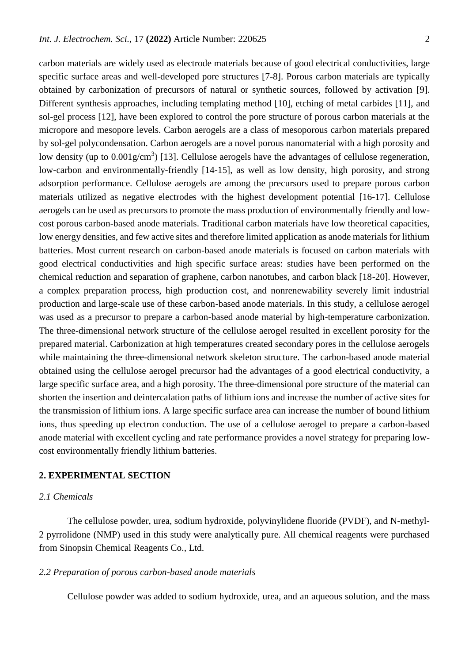carbon materials are widely used as electrode materials because of good electrical conductivities, large specific surface areas and well-developed pore structures [7-8]. Porous carbon materials are typically obtained by carbonization of precursors of natural or synthetic sources, followed by activation [9]. Different synthesis approaches, including templating method [10], etching of metal carbides [11], and sol-gel process [12], have been explored to control the pore structure of porous carbon materials at the micropore and mesopore levels. Carbon aerogels are a class of mesoporous carbon materials prepared by sol-gel polycondensation. Carbon aerogels are a novel porous nanomaterial with a high porosity and low density (up to 0.001g/cm<sup>3</sup>) [13]. Cellulose aerogels have the advantages of cellulose regeneration, [low-carbon and environmentally-friendly](https://dict.youdao.com/w/low-carbon%20and%20environmentally-friendly/#keyfrom=E2Ctranslation) [14-15], as well as low density, high porosity, and strong adsorption performance. Cellulose aerogels are among the precursors used to prepare porous carbon materials utilized as negative electrodes with the highest development potential [16-17]. Cellulose aerogels can be used as precursors to promote the mass production of environmentally friendly and lowcost porous carbon-based anode materials. Traditional carbon materials have low theoretical capacities, low energy densities, and few active sites and therefore limited application as anode materials for lithium batteries. Most current research on carbon-based anode materials is focused on carbon materials with good electrical conductivities and high specific surface areas: studies have been performed on the chemical reduction and separation of graphene, carbon nanotubes, and carbon black [18-20]. However, a complex preparation process, high production cost, and nonrenewability severely limit industrial production and large-scale use of these carbon-based anode materials. In this study, a cellulose aerogel was used as a precursor to prepare a carbon-based anode material by high-temperature carbonization. The three-dimensional network structure of the cellulose aerogel resulted in excellent porosity for the prepared material. Carbonization at high temperatures created secondary pores in the cellulose aerogels while maintaining the three-dimensional network skeleton structure. The carbon-based anode material obtained using the cellulose aerogel precursor had the advantages of a good electrical conductivity, a large specific surface area, and a high porosity. The three-dimensional pore structure of the material can shorten the insertion and deintercalation paths of lithium ions and increase the number of active sites for the transmission of lithium ions. A large specific surface area can increase the number of bound lithium ions, thus speeding up electron conduction. The use of a cellulose aerogel to prepare a carbon-based anode material with excellent cycling and rate performance provides a novel strategy for preparing lowcost environmentally friendly lithium batteries.

### **2. EXPERIMENTAL SECTION**

## *2.1 Chemicals*

The cellulose powder, urea, sodium hydroxide, polyvinylidene fluoride (PVDF), and N-methyl-2 pyrrolidone (NMP) used in this study were analytically pure. All chemical reagents were purchased from Sinopsin Chemical Reagents Co., Ltd.

#### *2.2 Preparation of porous carbon-based anode materials*

Cellulose powder was added to sodium hydroxide, urea, and an aqueous solution, and the mass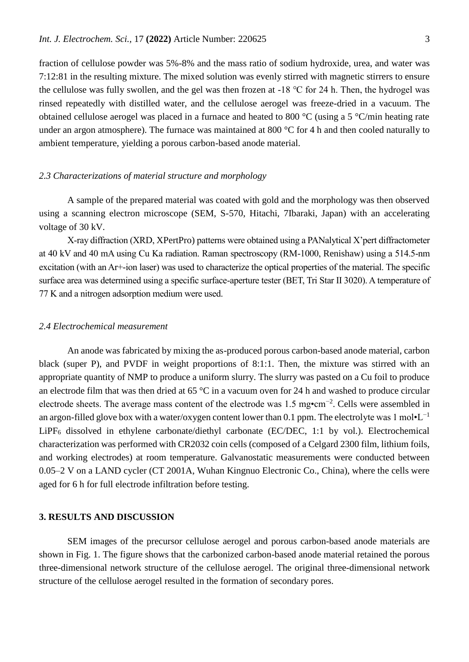fraction of cellulose powder was 5%-8% and the mass ratio of sodium hydroxide, urea, and water was 7:12:81 in the resulting mixture. The mixed solution was evenly stirred with magnetic stirrers to ensure the cellulose was fully swollen, and the gel was then frozen at -18 ℃ for 24 h. Then, the hydrogel was rinsed repeatedly with distilled water, and the cellulose aerogel was freeze-dried in a vacuum. The obtained cellulose aerogel was placed in a furnace and heated to 800 °C (using a 5 °C/min heating rate under an argon atmosphere). The furnace was maintained at 800 °C for 4 h and then cooled naturally to ambient temperature, yielding a porous carbon-based anode material.

#### *2.3 Characterizations of material structure and morphology*

A sample of the prepared material was coated with gold and the morphology was then observed using a scanning electron microscope (SEM, S-570, Hitachi, 7Ibaraki, Japan) with an accelerating voltage of 30 kV.

X-ray diffraction (XRD, XPertPro) patterns were obtained using a PANalytical X'pert diffractometer at 40 kV and 40 mA using Cu Ka radiation. Raman spectroscopy (RM-1000, Renishaw) using a 514.5-nm excitation (with an Ar+-ion laser) was used to characterize the optical properties of the material. The specific surface area was determined using a specific surface-aperture tester (BET, Tri Star II 3020). A temperature of 77 K and a nitrogen adsorption medium were used.

#### *2.4 Electrochemical measurement*

An anode was fabricated by mixing the as-produced porous carbon-based anode material, carbon black (super P), and PVDF in weight proportions of 8:1:1. Then, the mixture was stirred with an appropriate quantity of NMP to produce a uniform slurry. The slurry was pasted on a Cu foil to produce an electrode film that was then dried at 65 °C in a vacuum oven for 24 h and washed to produce circular electrode sheets. The average mass content of the electrode was 1.5 mg•cm<sup>-2</sup>. Cells were assembled in an argon-filled glove box with a water/oxygen content lower than 0.1 ppm. The electrolyte was 1 mol•L<sup>-1</sup> LiPF<sub>6</sub> dissolved in ethylene carbonate/diethyl carbonate (EC/DEC, 1:1 by vol.). Electrochemical characterization was performed with CR2032 coin cells (composed of a Celgard 2300 film, lithium foils, and working electrodes) at room temperature. Galvanostatic measurements were conducted between 0.05–2 V on a LAND cycler (CT 2001A, Wuhan Kingnuo Electronic Co., China), where the cells were aged for 6 h for full electrode infiltration before testing.

#### **3. RESULTS AND DISCUSSION**

SEM images of the precursor cellulose aerogel and porous carbon-based anode materials are shown in Fig. 1. The figure shows that the carbonized carbon-based anode material retained the porous three-dimensional network structure of the cellulose aerogel. The original three-dimensional network structure of the cellulose aerogel resulted in the formation of secondary pores.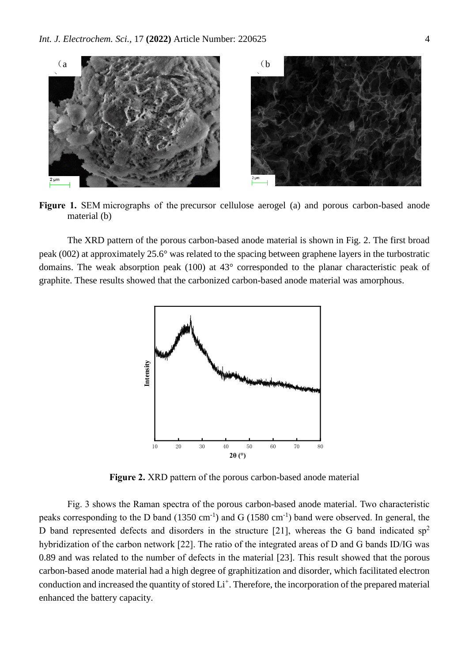

**Figure 1.** SEM micrographs of the precursor cellulose aerogel (a) and porous carbon-based anode material (b)

The XRD pattern of the porous carbon-based anode material is shown in Fig. 2. The first broad peak (002) at approximately 25.6° was related to the spacing between graphene layers in the turbostratic domains. The weak absorption peak (100) at 43° corresponded to the planar characteristic peak of graphite. These results showed that the carbonized carbon-based anode material was amorphous.



**Figure 2.** XRD pattern of the porous carbon-based anode material

Fig. 3 shows the Raman spectra of the porous carbon-based anode material. Two characteristic peaks corresponding to the D band  $(1350 \text{ cm}^{-1})$  and G  $(1580 \text{ cm}^{-1})$  band were observed. In general, the D band represented defects and disorders in the structure [21], whereas the G band indicated  $sp<sup>2</sup>$ hybridization of the carbon network [22]. The ratio of the integrated areas of D and G bands ID/IG was 0.89 and was related to the number of defects in the material [23]. This result showed that the porous carbon-based anode material had a high degree of graphitization and disorder, which facilitated electron conduction and increased the quantity of stored Li<sup>+</sup>. Therefore, the incorporation of the prepared material enhanced the battery capacity.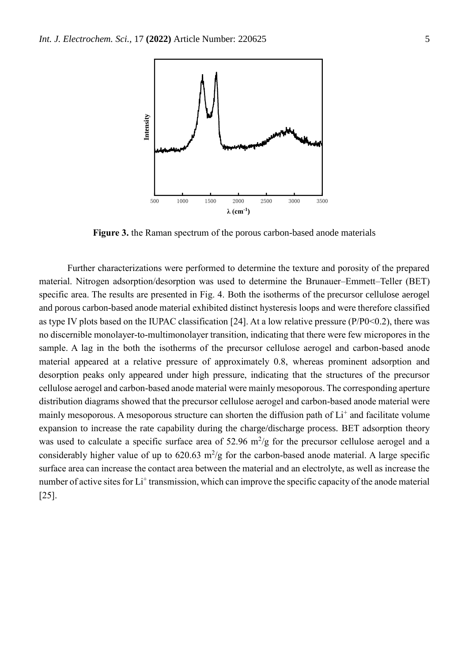

**Figure 3.** the Raman spectrum of the porous carbon-based anode materials

Further characterizations were performed to determine the texture and porosity of the prepared material. Nitrogen adsorption/desorption was used to determine the Brunauer–Emmett–Teller (BET) specific area. The results are presented in Fig. 4. Both the isotherms of the precursor cellulose aerogel and porous carbon-based anode material exhibited distinct hysteresis loops and were therefore classified as type IV plots based on the IUPAC classification [24]. At a low relative pressure (P/P0<0.2), there was no discernible monolayer-to-multimonolayer transition, indicating that there were few micropores in the sample. A lag in the both the isotherms of the precursor cellulose aerogel and carbon-based anode material appeared at a relative pressure of approximately 0.8, whereas prominent adsorption and desorption peaks only appeared under high pressure, indicating that the structures of the precursor cellulose aerogel and carbon-based anode material were mainly mesoporous. The corresponding aperture distribution diagrams showed that the precursor cellulose aerogel and carbon-based anode material were mainly mesoporous. A mesoporous structure can shorten the diffusion path of  $Li<sup>+</sup>$  and facilitate volume expansion to increase the rate capability during the charge/discharge process. BET adsorption theory was used to calculate a specific surface area of  $52.96 \text{ m}^2/\text{g}$  for the precursor cellulose aerogel and a considerably higher value of up to  $620.63 \text{ m}^2/\text{g}$  for the carbon-based anode material. A large specific surface area can increase the contact area between the material and an electrolyte, as well as increase the number of active sites for Li<sup>+</sup> transmission, which can improve the specific capacity of the anode material [25].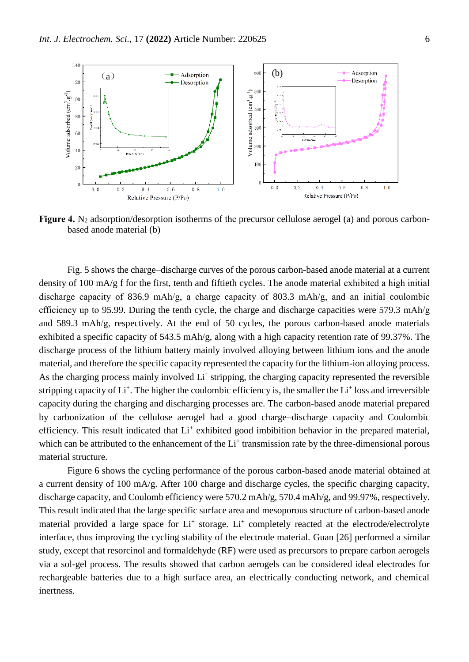

**Figure 4.** N<sub>2</sub> adsorption/desorption isotherms of the precursor cellulose aerogel (a) and porous carbonbased anode material (b)

Fig. 5 shows the charge–discharge curves of the porous carbon-based anode material at a current density of 100 mA/g f for the first, tenth and fiftieth cycles. The anode material exhibited a high initial discharge capacity of 836.9 mAh/g, a charge capacity of 803.3 mAh/g, and an initial coulombic efficiency up to 95.99. During the tenth cycle, the charge and discharge capacities were 579.3 mAh/g and 589.3 mAh/g, respectively. At the end of 50 cycles, the porous carbon-based anode materials exhibited a specific capacity of 543.5 mAh/g, along with a high capacity retention rate of 99.37%. The discharge process of the lithium battery mainly involved alloying between lithium ions and the anode material, and therefore the specific capacity represented the capacity for the lithium-ion alloying process. As the charging process mainly involved  $Li<sup>+</sup>$  stripping, the charging capacity represented the reversible stripping capacity of  $Li^+$ . The higher the coulombic efficiency is, the smaller the  $Li^+$  loss and irreversible capacity during the charging and discharging processes are. The carbon-based anode material prepared by carbonization of the cellulose aerogel had a good charge–discharge capacity and Coulombic efficiency. This result indicated that Li<sup>+</sup> exhibited good imbibition behavior in the prepared material, which can be attributed to the enhancement of the Li<sup>+</sup> transmission rate by the three-dimensional porous material structure.

Figure 6 shows the cycling performance of the porous carbon-based anode material obtained at a current density of 100 mA/g. After 100 charge and discharge cycles, the specific charging capacity, discharge capacity, and Coulomb efficiency were 570.2 mAh/g, 570.4 mAh/g, and 99.97%, respectively. This result indicated that the large specific surface area and mesoporous structure of carbon-based anode material provided a large space for Li<sup>+</sup> storage. Li<sup>+</sup> completely reacted at the electrode/electrolyte interface, thus improving the cycling stability of the electrode material. Guan [26] performed a similar study, except that resorcinol and formaldehyde (RF) were used as precursors to prepare carbon aerogels via a sol-gel process. The results showed that carbon aerogels can be considered ideal electrodes for rechargeable batteries due to a high surface area, an electrically conducting network, and chemical inertness.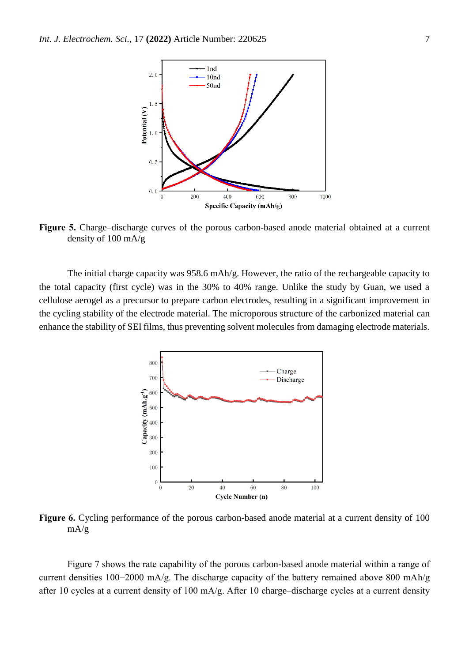

**Figure 5.** Charge–discharge curves of the porous carbon-based anode material obtained at a current density of 100 mA/g

The initial charge capacity was 958.6 mAh/g. However, the ratio of the rechargeable capacity to the total capacity (first cycle) was in the 30% to 40% range. Unlike the study by Guan, we used a cellulose aerogel as a precursor to prepare carbon electrodes, resulting in a significant improvement in the cycling stability of the electrode material. The microporous structure of the carbonized material can enhance the stability of SEI films, thus preventing solvent molecules from damaging electrode materials.



**Figure 6.** Cycling performance of the porous carbon-based anode material at a current density of 100 mA/g

Figure 7 shows the rate capability of the porous carbon-based anode material within a range of current densities 100−2000 mA/g. The discharge capacity of the battery remained above 800 mAh/g after 10 cycles at a current density of 100 mA/g. After 10 charge–discharge cycles at a current density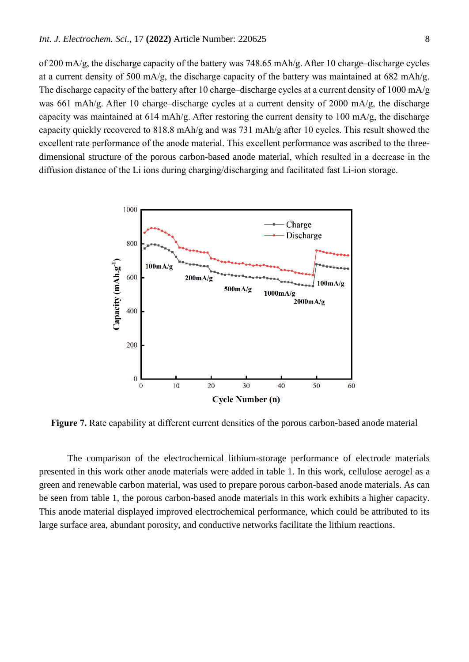of 200 mA/g, the discharge capacity of the battery was 748.65 mAh/g. After 10 charge–discharge cycles at a current density of 500 mA/g, the discharge capacity of the battery was maintained at 682 mAh/g. The discharge capacity of the battery after 10 charge–discharge cycles at a current density of 1000 mA/g was 661 mAh/g. After 10 charge–discharge cycles at a current density of 2000 mA/g, the discharge capacity was maintained at 614 mAh/g. After restoring the current density to 100 mA/g, the discharge capacity quickly recovered to 818.8 mAh/g and was 731 mAh/g after 10 cycles. This result showed the excellent rate performance of the anode material. This excellent performance was ascribed to the threedimensional structure of the porous carbon-based anode material, which resulted in a decrease in the diffusion distance of the Li ions during charging/discharging and facilitated fast Li-ion storage.



**Figure 7.** Rate capability at different current densities of the porous carbon-based anode material

The comparison of the electrochemical lithium-storage performance of electrode materials presented in this work other anode materials were added in table 1. In this work, cellulose aerogel as a green and renewable carbon material, was used to prepare porous carbon-based anode materials. As can be seen from table 1, the porous carbon-based anode materials in this work exhibits a higher capacity. This anode material displayed improved electrochemical performance, which could be attributed to its large surface area, abundant porosity, and conductive networks facilitate the lithium reactions.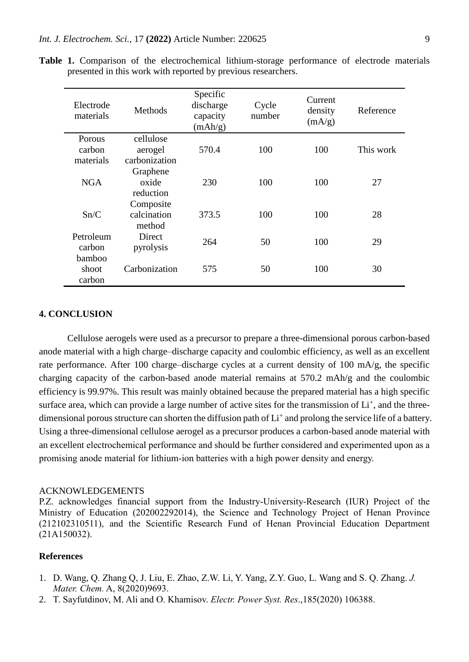| Electrode<br>materials        | Methods                               | Specific<br>discharge<br>capacity<br>(mAh/g) | Cycle<br>number | Current<br>density<br>(mA/g) | Reference |
|-------------------------------|---------------------------------------|----------------------------------------------|-----------------|------------------------------|-----------|
| Porous<br>carbon<br>materials | cellulose<br>aerogel<br>carbonization | 570.4                                        | 100             | 100                          | This work |
| <b>NGA</b>                    | Graphene<br>oxide<br>reduction        | 230                                          | 100             | 100                          | 27        |
| Sn/C                          | Composite<br>calcination<br>method    | 373.5                                        | 100             | 100                          | 28        |
| Petroleum<br>carbon           | Direct<br>pyrolysis                   | 264                                          | 50              | 100                          | 29        |
| bamboo<br>shoot<br>carbon     | Carbonization                         | 575                                          | 50              | 100                          | 30        |

**Table 1.** Comparison of the electrochemical lithium-storage performance of electrode materials presented in this work with reported by previous researchers.

## **4. CONCLUSION**

Cellulose aerogels were used as a precursor to prepare a three-dimensional porous carbon-based anode material with a high charge–discharge capacity and coulombic efficiency, as well as an excellent rate performance. After 100 charge–discharge cycles at a current density of 100 mA/g, the specific charging capacity of the carbon-based anode material remains at 570.2 mAh/g and the coulombic efficiency is 99.97%. This result was mainly obtained because the prepared material has a high specific surface area, which can provide a large number of active sites for the transmission of  $Li^+$ , and the threedimensional porous structure can shorten the diffusion path of Li<sup>+</sup> and prolong the service life of a battery. Using a three-dimensional cellulose aerogel as a precursor produces a carbon-based anode material with an excellent electrochemical performance and should be further considered and experimented upon as a promising anode material for lithium-ion batteries with a high power density and energy.

#### ACKNOWLEDGEMENTS

P.Z. acknowledges financial support from the Industry-University-Research (IUR) Project of the Ministry of Education (202002292014), the Science and Technology Project of Henan Province (212102310511), and the Scientific Research Fund of Henan Provincial Education Department (21A150032).

#### **References**

- 1. D. Wang, Q. Zhang Q, J. Liu, E. Zhao, Z.W. Li, Y. Yang, Z.Y. Guo, L. Wang and S. Q. Zhang. *J. Mater. Chem.* A, 8(2020)9693.
- 2. T. Sayfutdinov, M. Ali and O. Khamisov. *Electr. Power Syst. Res*.,185(2020) 106388.